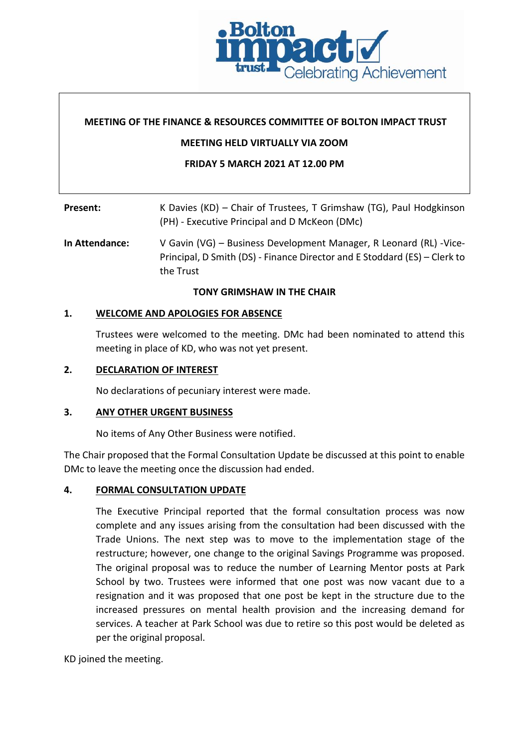

## **MEETING OF THE FINANCE & RESOURCES COMMITTEE OF BOLTON IMPACT TRUST**

#### **MEETING HELD VIRTUALLY VIA ZOOM**

#### **FRIDAY 5 MARCH 2021 AT 12.00 PM**

# **Present:** K Davies (KD) – Chair of Trustees, T Grimshaw (TG), Paul Hodgkinson (PH) - Executive Principal and D McKeon (DMc)

**In Attendance:** V Gavin (VG) – Business Development Manager, R Leonard (RL) -Vice-Principal, D Smith (DS) - Finance Director and E Stoddard (ES) – Clerk to the Trust

#### **TONY GRIMSHAW IN THE CHAIR**

#### **1. WELCOME AND APOLOGIES FOR ABSENCE**

Trustees were welcomed to the meeting. DMc had been nominated to attend this meeting in place of KD, who was not yet present.

#### **2. DECLARATION OF INTEREST**

No declarations of pecuniary interest were made.

## **3. ANY OTHER URGENT BUSINESS**

No items of Any Other Business were notified.

The Chair proposed that the Formal Consultation Update be discussed at this point to enable DMc to leave the meeting once the discussion had ended.

## **4. FORMAL CONSULTATION UPDATE**

The Executive Principal reported that the formal consultation process was now complete and any issues arising from the consultation had been discussed with the Trade Unions. The next step was to move to the implementation stage of the restructure; however, one change to the original Savings Programme was proposed. The original proposal was to reduce the number of Learning Mentor posts at Park School by two. Trustees were informed that one post was now vacant due to a resignation and it was proposed that one post be kept in the structure due to the increased pressures on mental health provision and the increasing demand for services. A teacher at Park School was due to retire so this post would be deleted as per the original proposal.

KD joined the meeting.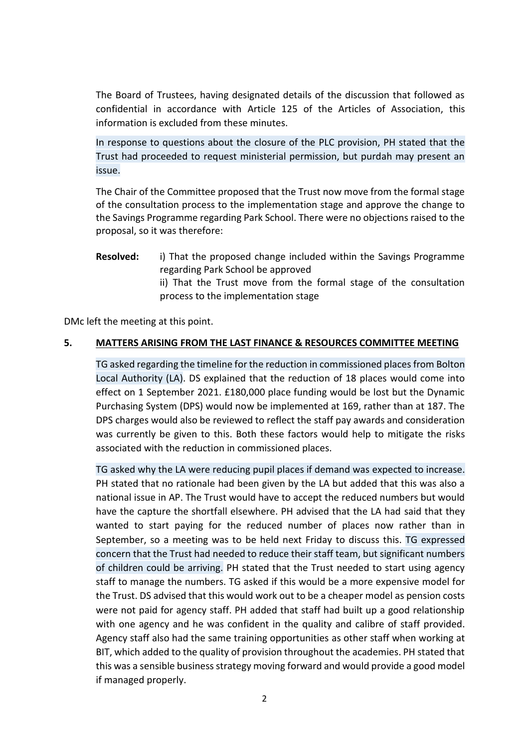The Board of Trustees, having designated details of the discussion that followed as confidential in accordance with Article 125 of the Articles of Association, this information is excluded from these minutes.

In response to questions about the closure of the PLC provision, PH stated that the Trust had proceeded to request ministerial permission, but purdah may present an issue.

The Chair of the Committee proposed that the Trust now move from the formal stage of the consultation process to the implementation stage and approve the change to the Savings Programme regarding Park School. There were no objections raised to the proposal, so it was therefore:

**Resolved:** i) That the proposed change included within the Savings Programme regarding Park School be approved ii) That the Trust move from the formal stage of the consultation process to the implementation stage

DMc left the meeting at this point.

# **5. MATTERS ARISING FROM THE LAST FINANCE & RESOURCES COMMITTEE MEETING**

TG asked regarding the timeline for the reduction in commissioned places from Bolton Local Authority (LA). DS explained that the reduction of 18 places would come into effect on 1 September 2021. £180,000 place funding would be lost but the Dynamic Purchasing System (DPS) would now be implemented at 169, rather than at 187. The DPS charges would also be reviewed to reflect the staff pay awards and consideration was currently be given to this. Both these factors would help to mitigate the risks associated with the reduction in commissioned places.

TG asked why the LA were reducing pupil places if demand was expected to increase. PH stated that no rationale had been given by the LA but added that this was also a national issue in AP. The Trust would have to accept the reduced numbers but would have the capture the shortfall elsewhere. PH advised that the LA had said that they wanted to start paying for the reduced number of places now rather than in September, so a meeting was to be held next Friday to discuss this. TG expressed concern that the Trust had needed to reduce their staff team, but significant numbers of children could be arriving. PH stated that the Trust needed to start using agency staff to manage the numbers. TG asked if this would be a more expensive model for the Trust. DS advised that this would work out to be a cheaper model as pension costs were not paid for agency staff. PH added that staff had built up a good relationship with one agency and he was confident in the quality and calibre of staff provided. Agency staff also had the same training opportunities as other staff when working at BIT, which added to the quality of provision throughout the academies. PH stated that this was a sensible business strategy moving forward and would provide a good model if managed properly.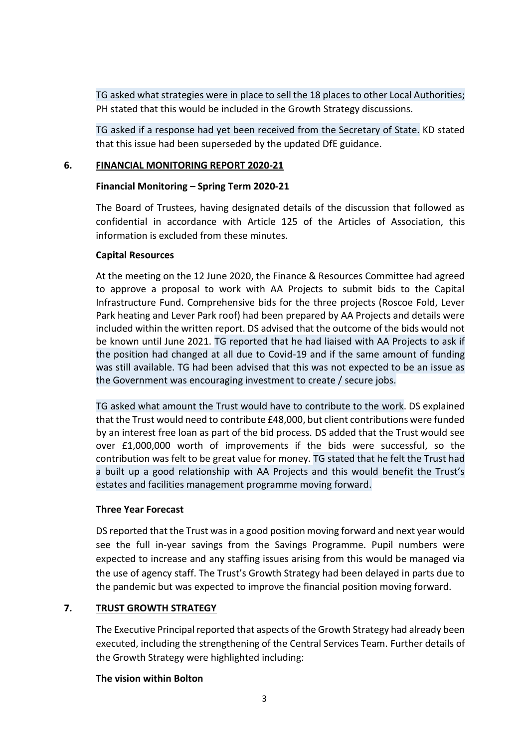TG asked what strategies were in place to sell the 18 places to other Local Authorities; PH stated that this would be included in the Growth Strategy discussions.

TG asked if a response had yet been received from the Secretary of State. KD stated that this issue had been superseded by the updated DfE guidance.

## **6. FINANCIAL MONITORING REPORT 2020-21**

## **Financial Monitoring – Spring Term 2020-21**

The Board of Trustees, having designated details of the discussion that followed as confidential in accordance with Article 125 of the Articles of Association, this information is excluded from these minutes.

## **Capital Resources**

At the meeting on the 12 June 2020, the Finance & Resources Committee had agreed to approve a proposal to work with AA Projects to submit bids to the Capital Infrastructure Fund. Comprehensive bids for the three projects (Roscoe Fold, Lever Park heating and Lever Park roof) had been prepared by AA Projects and details were included within the written report. DS advised that the outcome of the bids would not be known until June 2021. TG reported that he had liaised with AA Projects to ask if the position had changed at all due to Covid-19 and if the same amount of funding was still available. TG had been advised that this was not expected to be an issue as the Government was encouraging investment to create / secure jobs.

TG asked what amount the Trust would have to contribute to the work. DS explained that the Trust would need to contribute £48,000, but client contributions were funded by an interest free loan as part of the bid process. DS added that the Trust would see over £1,000,000 worth of improvements if the bids were successful, so the contribution was felt to be great value for money. TG stated that he felt the Trust had a built up a good relationship with AA Projects and this would benefit the Trust's estates and facilities management programme moving forward.

## **Three Year Forecast**

DS reported that the Trust was in a good position moving forward and next year would see the full in-year savings from the Savings Programme. Pupil numbers were expected to increase and any staffing issues arising from this would be managed via the use of agency staff. The Trust's Growth Strategy had been delayed in parts due to the pandemic but was expected to improve the financial position moving forward.

# **7. TRUST GROWTH STRATEGY**

The Executive Principal reported that aspects of the Growth Strategy had already been executed, including the strengthening of the Central Services Team. Further details of the Growth Strategy were highlighted including:

## **The vision within Bolton**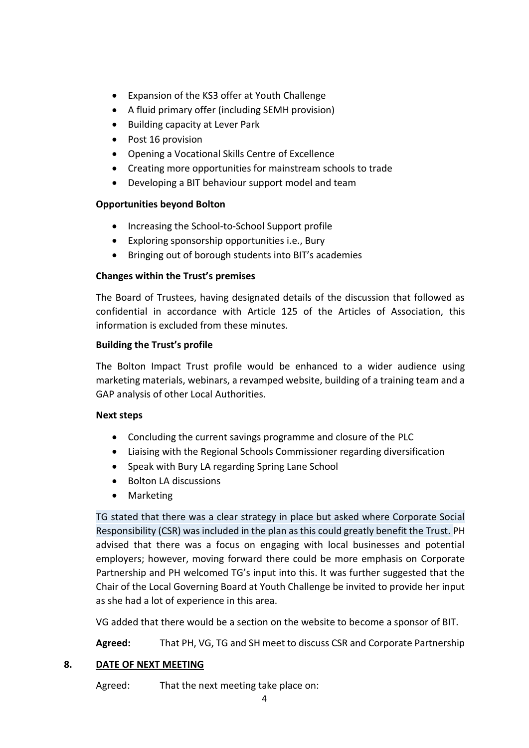- Expansion of the KS3 offer at Youth Challenge
- A fluid primary offer (including SEMH provision)
- Building capacity at Lever Park
- Post 16 provision
- Opening a Vocational Skills Centre of Excellence
- Creating more opportunities for mainstream schools to trade
- Developing a BIT behaviour support model and team

# **Opportunities beyond Bolton**

- Increasing the School-to-School Support profile
- Exploring sponsorship opportunities i.e., Bury
- Bringing out of borough students into BIT's academies

# **Changes within the Trust's premises**

The Board of Trustees, having designated details of the discussion that followed as confidential in accordance with Article 125 of the Articles of Association, this information is excluded from these minutes.

# **Building the Trust's profile**

The Bolton Impact Trust profile would be enhanced to a wider audience using marketing materials, webinars, a revamped website, building of a training team and a GAP analysis of other Local Authorities.

## **Next steps**

- Concluding the current savings programme and closure of the PLC
- Liaising with the Regional Schools Commissioner regarding diversification
- Speak with Bury LA regarding Spring Lane School
- Bolton LA discussions
- Marketing

TG stated that there was a clear strategy in place but asked where Corporate Social Responsibility (CSR) was included in the plan as this could greatly benefit the Trust. PH advised that there was a focus on engaging with local businesses and potential employers; however, moving forward there could be more emphasis on Corporate Partnership and PH welcomed TG's input into this. It was further suggested that the Chair of the Local Governing Board at Youth Challenge be invited to provide her input as she had a lot of experience in this area.

VG added that there would be a section on the website to become a sponsor of BIT.

**Agreed:** That PH, VG, TG and SH meet to discuss CSR and Corporate Partnership

# **8. DATE OF NEXT MEETING**

Agreed: That the next meeting take place on: